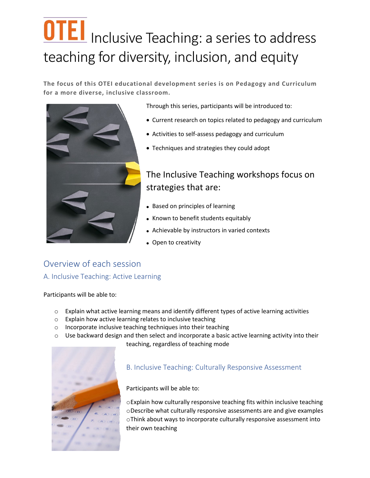# **OTEI** Inclusive Teaching: a series to address teaching for diversity, inclusion, and equity

**The focus of this OTEI educational development series is on Pedagogy and Curriculum for a more diverse, inclusive classroom.**



Through this series, participants will be introduced to:

- Current research on topics related to pedagogy and curriculum
- Activities to self-assess pedagogy and curriculum
- Techniques and strategies they could adopt

## The Inclusive Teaching workshops focus on strategies that are:

- Based on principles of learning
- Known to benefit students equitably
- Achievable by instructors in varied contexts
- Open to creativity

## Overview of each session A. Inclusive Teaching: Active Learning

Participants will be able to:

- $\circ$  Explain what active learning means and identify different types of active learning activities
- o Explain how active learning relates to inclusive teaching
- o Incorporate inclusive teaching techniques into their teaching
- $\circ$  Use backward design and then select and incorporate a basic active learning activity into their teaching, regardless of teaching mode



### B. Inclusive Teaching: Culturally Responsive Assessment

Participants will be able to:

oExplain how culturally responsive teaching fits within inclusive teaching oDescribe what culturally responsive assessments are and give examples oThink about ways to incorporate culturally responsive assessment into their own teaching